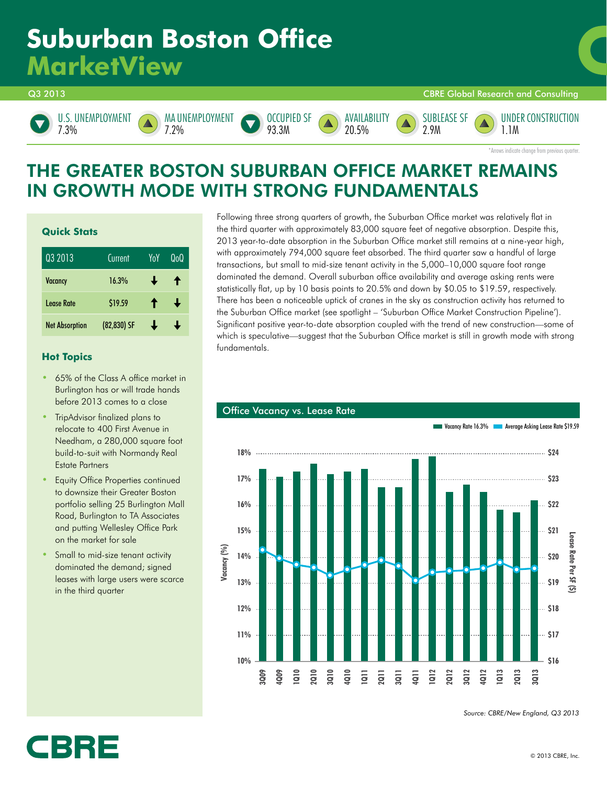# **Suburban Boston Office MarketView**

Q3 2013 CBRE Global Research and Consulting





MA UNEMPLOYMENT 7.2%





SUBLEASE SF 2.9M

UNDER CONSTRUCTION 1.1M

\*Arrows indicate change from previous quarter.

### THE GREATER BOSTON SUBURBAN OFFICE MARKET REMAINS IN GROWTH MODE WITH STRONG FUNDAMENTALS

#### **Quick Stats**

| Q3 2013               | Current     | YoY | QoQ |
|-----------------------|-------------|-----|-----|
| <b>Vacancy</b>        | 16.3%       | ┹   | Ŧ   |
| I ease Rate           | \$19.59     | ↑   | J   |
| <b>Net Absorption</b> | (82,830) SF |     |     |

#### **Hot Topics**

- 65% of the Class A office market in Burlington has or will trade hands before 2013 comes to a close
- TripAdvisor finalized plans to relocate to 400 First Avenue in Needham, a 280,000 square foot build-to-suit with Normandy Real Estate Partners
- Equity Office Properties continued to downsize their Greater Boston portfolio selling 25 Burlington Mall Road, Burlington to TA Associates and putting Wellesley Office Park on the market for sale
- Small to mid-size tenant activity dominated the demand; signed leases with large users were scarce in the third quarter

**IBRE** 

Following three strong quarters of growth, the Suburban Office market was relatively flat in the third quarter with approximately 83,000 square feet of negative absorption. Despite this, 2013 year-to-date absorption in the Suburban Office market still remains at a nine-year high, with approximately 794,000 square feet absorbed. The third quarter saw a handful of large transactions, but small to mid-size tenant activity in the 5,000–10,000 square foot range dominated the demand. Overall suburban office availability and average asking rents were statistically flat, up by 10 basis points to 20.5% and down by \$0.05 to \$19.59, respectively. There has been a noticeable uptick of cranes in the sky as construction activity has returned to the Suburban Office market (see spotlight – 'Suburban Office Market Construction Pipeline'). Significant positive year-to-date absorption coupled with the trend of new construction—some of which is speculative—suggest that the Suburban Office market is still in growth mode with strong fundamentals.



#### **Office Vacancy vs. Lease Rate**

*Source: CBRE/New England, Q3 2013*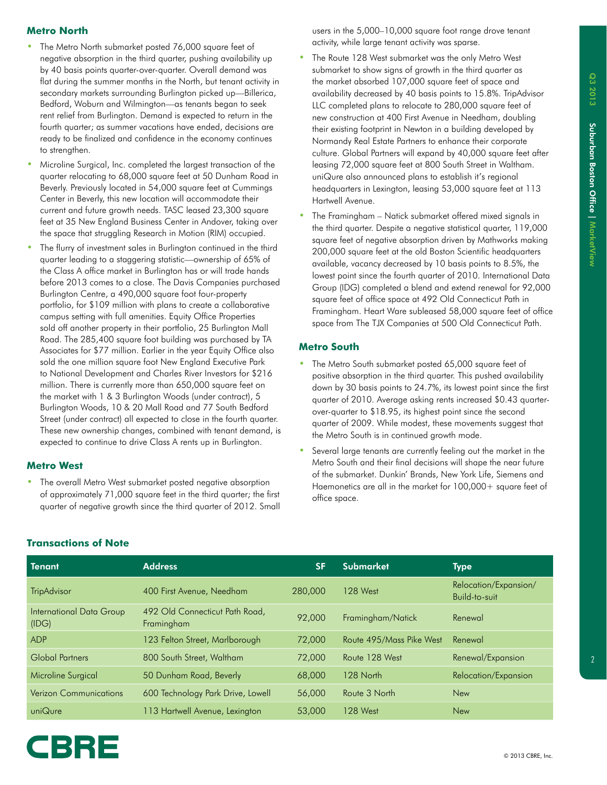#### **Metro North**

- The Metro North submarket posted 76,000 square feet of negative absorption in the third quarter, pushing availability up by 40 basis points quarter-over-quarter. Overall demand was flat during the summer months in the North, but tenant activity in secondary markets surrounding Burlington picked up—Billerica, Bedford, Woburn and Wilmington—as tenants began to seek rent relief from Burlington. Demand is expected to return in the fourth quarter; as summer vacations have ended, decisions are ready to be finalized and confidence in the economy continues to strengthen.
- Microline Surgical, Inc. completed the largest transaction of the quarter relocating to 68,000 square feet at 50 Dunham Road in Beverly. Previously located in 54,000 square feet at Cummings Center in Beverly, this new location will accommodate their current and future growth needs. TASC leased 23,300 square feet at 35 New England Business Center in Andover, taking over the space that struggling Research in Motion (RIM) occupied.
- The flurry of investment sales in Burlington continued in the third quarter leading to a staggering statistic—ownership of 65% of the Class A office market in Burlington has or will trade hands before 2013 comes to a close. The Davis Companies purchased Burlington Centre, a 490,000 square foot four-property portfolio, for \$109 million with plans to create a collaborative campus setting with full amenities. Equity Office Properties sold off another property in their portfolio, 25 Burlington Mall Road. The 285,400 square foot building was purchased by TA Associates for \$77 million. Earlier in the year Equity Office also sold the one million square foot New England Executive Park to National Development and Charles River Investors for \$216 million. There is currently more than 650,000 square feet on the market with 1 & 3 Burlington Woods (under contract), 5 Burlington Woods, 10 & 20 Mall Road and 77 South Bedford Street (under contract) all expected to close in the fourth quarter. These new ownership changes, combined with tenant demand, is expected to continue to drive Class A rents up in Burlington.

#### **Metro West**

• The overall Metro West submarket posted negative absorption of approximately 71,000 square feet in the third quarter; the first quarter of negative growth since the third quarter of 2012. Small users in the 5,000–10,000 square foot range drove tenant activity, while large tenant activity was sparse.

- The Route 128 West submarket was the only Metro West submarket to show signs of growth in the third quarter as the market absorbed 107,000 square feet of space and availability decreased by 40 basis points to 15.8%. TripAdvisor LLC completed plans to relocate to 280,000 square feet of new construction at 400 First Avenue in Needham, doubling their existing footprint in Newton in a building developed by Normandy Real Estate Partners to enhance their corporate culture. Global Partners will expand by 40,000 square feet after leasing 72,000 square feet at 800 South Street in Waltham. uniQure also announced plans to establish it's regional headquarters in Lexington, leasing 53,000 square feet at 113 Hartwell Avenue.
- The Framingham Natick submarket offered mixed signals in the third quarter. Despite a negative statistical quarter, 119,000 square feet of negative absorption driven by Mathworks making 200,000 square feet at the old Boston Scientific headquarters available, vacancy decreased by 10 basis points to 8.5%, the lowest point since the fourth quarter of 2010. International Data Group (IDG) completed a blend and extend renewal for 92,000 square feet of office space at 492 Old Connecticut Path in Framingham. Heart Ware subleased 58,000 square feet of office space from The TJX Companies at 500 Old Connecticut Path.

#### **Metro South**

- The Metro South submarket posted 65,000 square feet of positive absorption in the third quarter. This pushed availability down by 30 basis points to 24.7%, its lowest point since the first quarter of 2010. Average asking rents increased \$0.43 quarterover-quarter to \$18.95, its highest point since the second quarter of 2009. While modest, these movements suggest that the Metro South is in continued growth mode.
- Several large tenants are currently feeling out the market in the Metro South and their final decisions will shape the near future of the submarket. Dunkin' Brands, New York Life, Siemens and Haemonetics are all in the market for 100,000+ square feet of office space.

| <b>Tenant</b>                     | <b>Address</b>                               | <b>SF</b> | <b>Submarket</b>         | <b>Type</b>                            |
|-----------------------------------|----------------------------------------------|-----------|--------------------------|----------------------------------------|
| <b>TripAdvisor</b>                | 400 First Avenue, Needham                    | 280,000   | <b>128 West</b>          | Relocation/Expansion/<br>Build-to-suit |
| International Data Group<br>(IDG) | 492 Old Connecticut Path Road,<br>Framingham | 92,000    | Framingham/Natick        | Renewal                                |
| <b>ADP</b>                        | 123 Felton Street, Marlborough               | 72,000    | Route 495/Mass Pike West | Renewal                                |
| Global Partners                   | 800 South Street, Waltham                    | 72,000    | Route 128 West           | Renewal/Expansion                      |
| Microline Surgical                | 50 Dunham Road, Beverly                      | 68,000    | 128 North                | Relocation/Expansion                   |
| <b>Verizon Communications</b>     | 600 Technology Park Drive, Lowell            | 56,000    | Route 3 North            | <b>New</b>                             |
| uniQure                           | 113 Hartwell Avenue, Lexington               | 53,000    | <b>128 West</b>          | <b>New</b>                             |

#### **Transactions of Note**

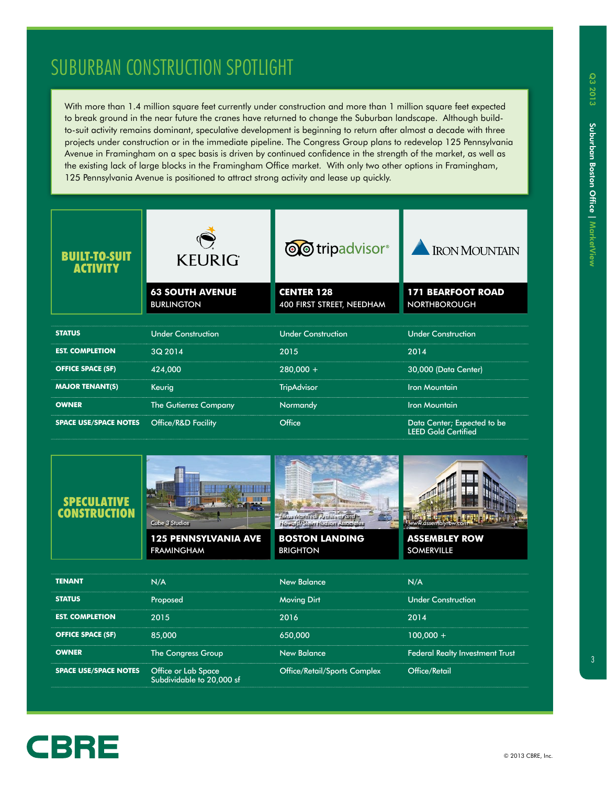## SUBURBAN CONSTRUCTION SPOTLIGHT

With more than 1.4 million square feet currently under construction and more than 1 million square feet expected to break ground in the near future the cranes have returned to change the Suburban landscape. Although buildto-suit activity remains dominant, speculative development is beginning to return after almost a decade with three projects under construction or in the immediate pipeline. The Congress Group plans to redevelop 125 Pennsylvania Avenue in Framingham on a spec basis is driven by continued confidence in the strength of the market, as well as the existing lack of large blocks in the Framingham Office market. With only two other options in Framingham, 125 Pennsylvania Avenue is positioned to attract strong activity and lease up quickly.

| RUILT-TO-SUIT<br><b>ACTIVITY</b> | <b>KEURIG</b>                               | <b>OO</b> tripadvisor <sup>®</sup>             | <b>IRON MOUNTAIN</b>                                      |  |
|----------------------------------|---------------------------------------------|------------------------------------------------|-----------------------------------------------------------|--|
|                                  | <b>63 SOUTH AVENUE</b><br><b>BURLINGTON</b> | <b>CENTER 128</b><br>400 FIRST STREET, NEEDHAM | <b>171 BEARFOOT ROAD</b><br><b>NORTHBOROUGH</b>           |  |
|                                  |                                             |                                                |                                                           |  |
| <b>STATUS</b>                    | <b>Under Construction</b>                   | <b>Under Construction</b>                      | <b>Under Construction</b>                                 |  |
| <b>EST. COMPLETION</b>           | 3Q 2014                                     | 2015                                           | 2014                                                      |  |
| <b>OFFICE SPACE (SF)</b>         | 424,000                                     | $280,000 +$                                    | 30,000 (Data Center)                                      |  |
| <b>MAJOR TENANT(S)</b>           | Keurig                                      | <b>TripAdvisor</b>                             | <b>Iron Mountain</b>                                      |  |
| <b>OWNER</b>                     | <b>The Gutierrez Company</b>                | Normandy                                       | <b>Iron Mountain</b>                                      |  |
| <b>SPACE USE/SPACE NOTES</b>     | <b>Office/R&amp;D Facility</b>              | Office                                         | Data Center; Expected to be<br><b>LEED Gold Certified</b> |  |





**125 PENNSYLVANIA AVE** FRAMINGHAM



**BOSTON LANDING BRIGHTON** 



**ASSEMBLEY ROW** SOMERVILLE

| <b>TENANT</b>                                    | N/A                       | <b>New Balance</b>           | N/A                                    |
|--------------------------------------------------|---------------------------|------------------------------|----------------------------------------|
| <b>STATUS</b>                                    | Proposed                  | <b>Moving Dirt</b>           | <b>Under Construction</b>              |
| <b>EST. COMPLETION</b>                           | 2015                      | 2016                         | 2014                                   |
| <b>OFFICE SPACE (SF)</b>                         | 85,000                    | 650,000                      | $100.000 +$                            |
| <b>OWNER</b>                                     | The Congress Group        | <b>New Balance</b>           | <b>Federal Realty Investment Trust</b> |
| <b>SPACE USE/SPACE NOTES</b> Office or Lab Space | Subdividable to 20,000 sf | Office/Retail/Sports Complex | <b>Office/Retail</b>                   |

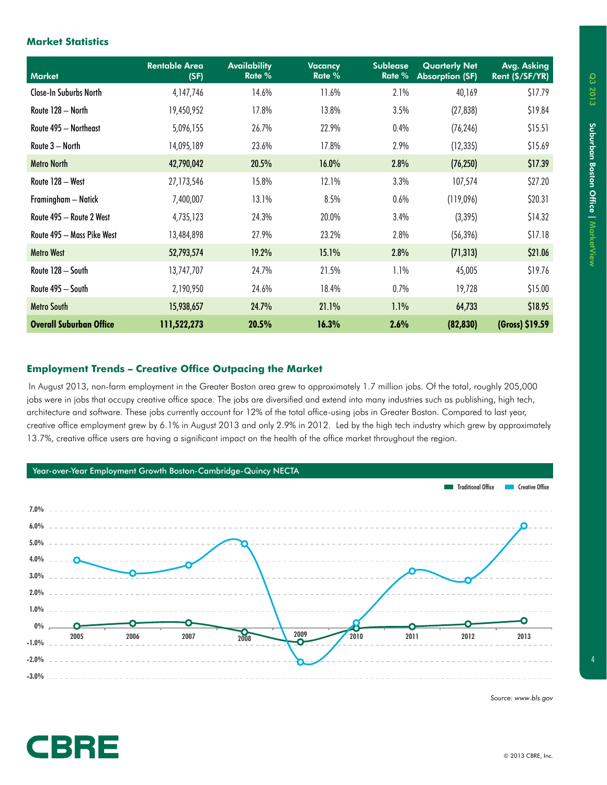#### **Market Statistics**

| <b>Market</b>                  | <b>Rentable Area</b><br>(SF) | <b>Availability</b><br>Rate % | <b>Vacancy</b><br>Rate % | <b>Sublease</b><br>Rate % | <b>Quarterly Net</b><br><b>Absorption (SF)</b> | Avg. Asking<br>Rent (\$/SF/YR) |
|--------------------------------|------------------------------|-------------------------------|--------------------------|---------------------------|------------------------------------------------|--------------------------------|
| <b>Close-In Suburbs North</b>  | 4,147,746                    | 14.6%                         | 11.6%                    | 2.1%                      | 40,169                                         | \$17.79                        |
| Route 128 - North              | 19,450,952                   | 17.8%                         | 13.8%                    | 3.5%                      | (27, 838)                                      | \$19.84                        |
| Route 495 - Northeast          | 5,096,155                    | 26.7%                         | 22.9%                    | $0.4\%$                   | (76, 246)                                      | \$15.51                        |
| Route 3 - North                | 14,095,189                   | 23.6%                         | 17.8%                    | 2.9%                      | (12, 335)                                      | \$15.69                        |
| <b>Metro North</b>             | 42,790,042                   | 20.5%                         | 16.0%                    | 2.8%                      | (76, 250)                                      | \$17.39                        |
| Route 128 - West               | 27,173,546                   | 15.8%                         | 12.1%                    | 3.3%                      | 107,574                                        | \$27.20                        |
| Framingham - Natick            | 7,400,007                    | 13.1%                         | 8.5%                     | $0.6\%$                   | (119,096)                                      | \$20.31                        |
| Route 495 - Route 2 West       | 4,735,123                    | 24.3%                         | 20.0%                    | 3.4%                      | (3, 395)                                       | \$14.32                        |
| Route 495 - Mass Pike West     | 13,484,898                   | 27.9%                         | 23.2%                    | 2.8%                      | (56, 396)                                      | \$17.18                        |
| <b>Metro West</b>              | 52,793,574                   | 19.2%                         | 15.1%                    | 2.8%                      | (71, 313)                                      | \$21.06                        |
| Route 128 - South              | 13,747,707                   | 24.7%                         | 21.5%                    | 1.1%                      | 45,005                                         | \$19.76                        |
| Route 495 - South              | 2,190,950                    | 24.6%                         | 18.4%                    | 0.7%                      | 19,728                                         | \$15.00                        |
| <b>Metro South</b>             | 15,938,657                   | 24.7%                         | 21.1%                    | $1.1\%$                   | 64,733                                         | \$18.95                        |
| <b>Overall Suburban Office</b> | 111,522,273                  | 20.5%                         | 16.3%                    | 2.6%                      | (82, 830)                                      | (Gross) \$19.59                |

#### **Employment Trends – Creative Office Outpacing the Market**

In August 2013, non-farm employment in the Greater Boston area grew to approximately 1.7 million jobs. Of the total, roughly 205,000 jobs were in jobs that occupy creative office space. The jobs are diversified and extend into many industries such as publishing, high tech, architecture and software. These jobs currently account for 12% of the total office-using jobs in Greater Boston. Compared to last year, creative office employment grew by 6.1% in August 2013 and only 2.9% in 2012. Led by the high tech industry which grew by approximately 13.7%, creative office users are having a significant impact on the health of the office market throughout the region.



*Source: www.bls.gov*

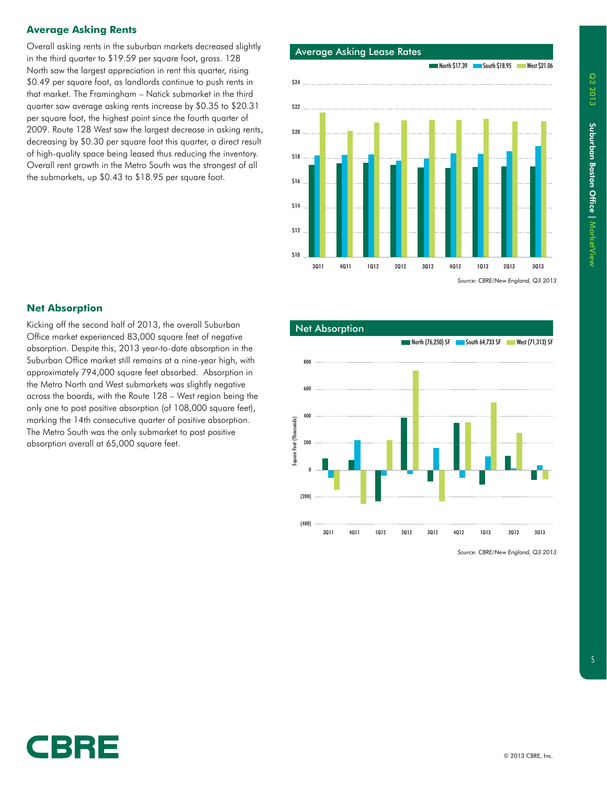#### **Average Asking Rents**

Overall asking rents in the suburban markets decreased slightly in the third quarter to \$19.59 per square foot, gross. 128 North saw the largest appreciation in rent this quarter, rising \$0.49 per square foot, as landlords continue to push rents in that market. The Framingham – Natick submarket in the third quarter saw average asking rents increase by \$0.35 to \$20.31 per square foot, the highest point since the fourth quarter of 2009. Route 128 West saw the largest decrease in asking rents, decreasing by \$0.30 per square foot this quarter, a direct result of high-quality space being leased thus reducing the inventory. Overall rent growth in the Metro South was the strongest of all the submarkets, up \$0.43 to \$18.95 per square foot.



*Source: CBRE/New England, Q3 2013*

#### **Net Absorption**

Kicking off the second half of 2013, the overall Suburban Office market experienced 83,000 square feet of negative absorption. Despite this, 2013 year-to-date absorption in the Suburban Office market still remains at a nine-year high, with approximately 794,000 square feet absorbed. Absorption in the Metro North and West submarkets was slightly negative across the boards, with the Route 128 – West region being the only one to post positive absorption (of 108,000 square feet), marking the 14th consecutive quarter of positive absorption. The Metro South was the only submarket to post positive absorption overall at 65,000 square feet.



*Source: CBRE/New England, Q3 2013*

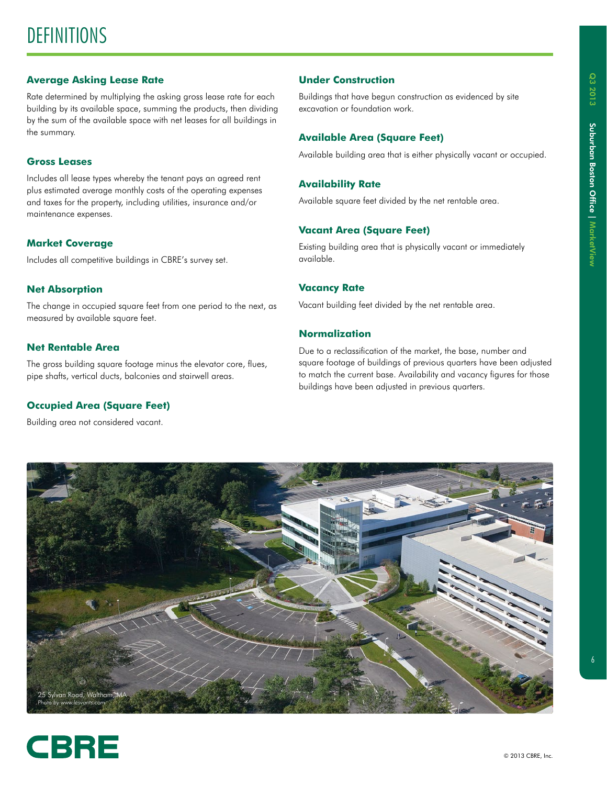### **DEFINITIONS**

#### **Average Asking Lease Rate**

Rate determined by multiplying the asking gross lease rate for each building by its available space, summing the products, then dividing by the sum of the available space with net leases for all buildings in the summary.

#### **Gross Leases**

Includes all lease types whereby the tenant pays an agreed rent plus estimated average monthly costs of the operating expenses and taxes for the property, including utilities, insurance and/or maintenance expenses.

#### **Market Coverage**

Includes all competitive buildings in CBRE's survey set.

#### **Net Absorption**

The change in occupied square feet from one period to the next, as measured by available square feet.

#### **Net Rentable Area**

The gross building square footage minus the elevator core, flues, pipe shafts, vertical ducts, balconies and stairwell areas.

#### **Occupied Area (Square Feet)**

Building area not considered vacant.

#### **Under Construction**

Buildings that have begun construction as evidenced by site excavation or foundation work.

#### **Available Area (Square Feet)**

Available building area that is either physically vacant or occupied.

#### **Availability Rate**

Available square feet divided by the net rentable area.

#### **Vacant Area (Square Feet)**

Existing building area that is physically vacant or immediately available.

#### **Vacancy Rate**

Vacant building feet divided by the net rentable area.

#### **Normalization**

Due to a reclassification of the market, the base, number and square footage of buildings of previous quarters have been adjusted to match the current base. Availability and vacancy figures for those buildings have been adjusted in previous quarters.